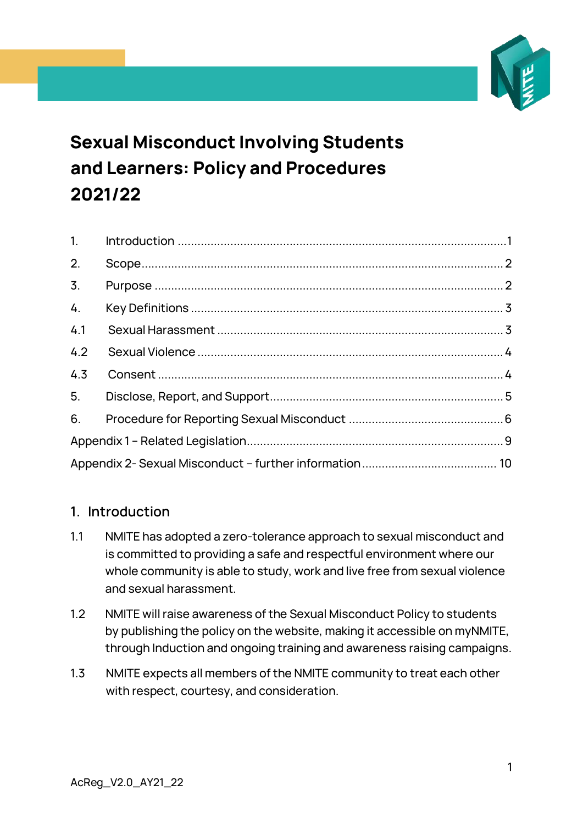

# **Sexual Misconduct Involving Students and Learners: Policy and Procedures 2021/22**

| 1.               |  |  |  |
|------------------|--|--|--|
| 2.               |  |  |  |
| $\overline{3}$ . |  |  |  |
| 4.               |  |  |  |
| 4.1              |  |  |  |
| 4.2              |  |  |  |
| 4.3              |  |  |  |
| 5.               |  |  |  |
| 6.               |  |  |  |
|                  |  |  |  |
|                  |  |  |  |

## <span id="page-0-0"></span>**1. Introduction**

- 1.1 NMITE has adopted a zero-tolerance approach to sexual misconduct and is committed to providing a safe and respectful environment where our whole community is able to study, work and live free from sexual violence and sexual harassment.
- 1.2 NMITE will raise awareness of the Sexual Misconduct Policy to students by publishing the policy on the website, making it accessible on myNMITE, through Induction and ongoing training and awareness raising campaigns.
- 1.3 NMITE expects all members of the NMITE community to treat each other with respect, courtesy, and consideration.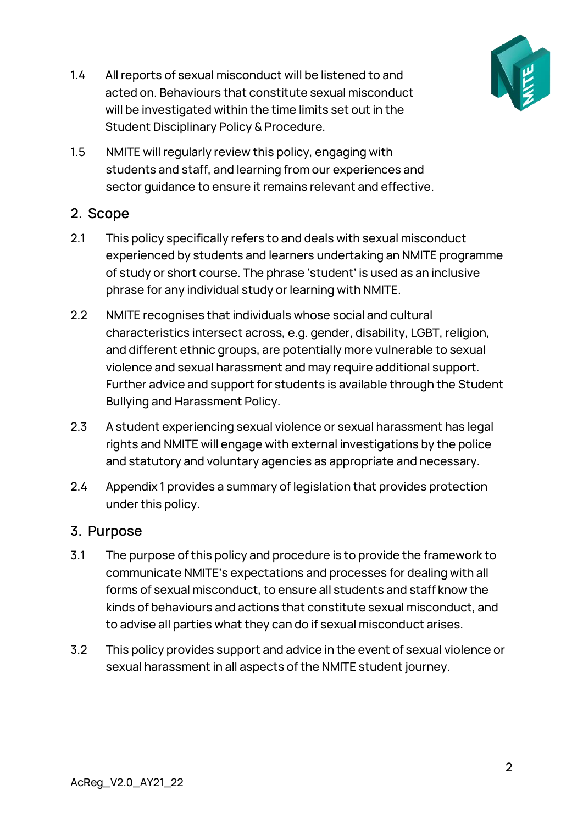

- 1.4 All reports of sexual misconduct will be listened to and acted on. Behaviours that constitute sexual misconduct will be investigated within the time limits set out in the Student Disciplinary Policy & Procedure.
- 1.5 NMITE will regularly review this policy, engaging with students and staff, and learning from our experiences and sector guidance to ensure it remains relevant and effective.

## <span id="page-1-0"></span>**2. Scope**

- 2.1 This policy specifically refers to and deals with sexual misconduct experienced by students and learners undertaking an NMITE programme of study or short course. The phrase 'student' is used as an inclusive phrase for any individual study or learning with NMITE.
- 2.2 NMITE recognises that individuals whose social and cultural characteristics intersect across, e.g. gender, disability, LGBT, religion, and different ethnic groups, are potentially more vulnerable to sexual violence and sexual harassment and may require additional support. Further advice and support for students is available through the Student Bullying and Harassment Policy.
- 2.3 A student experiencing sexual violence or sexual harassment has legal rights and NMITE will engage with external investigations by the police and statutory and voluntary agencies as appropriate and necessary.
- 2.4 Appendix 1 provides a summary of legislation that provides protection under this policy.

### <span id="page-1-1"></span>**3. Purpose**

- 3.1 The purpose of this policy and procedure is to provide the framework to communicate NMITE's expectations and processes for dealing with all forms of sexual misconduct, to ensure all students and staff know the kinds of behaviours and actions that constitute sexual misconduct, and to advise all parties what they can do if sexual misconduct arises.
- 3.2 This policy provides support and advice in the event of sexual violence or sexual harassment in all aspects of the NMITE student journey.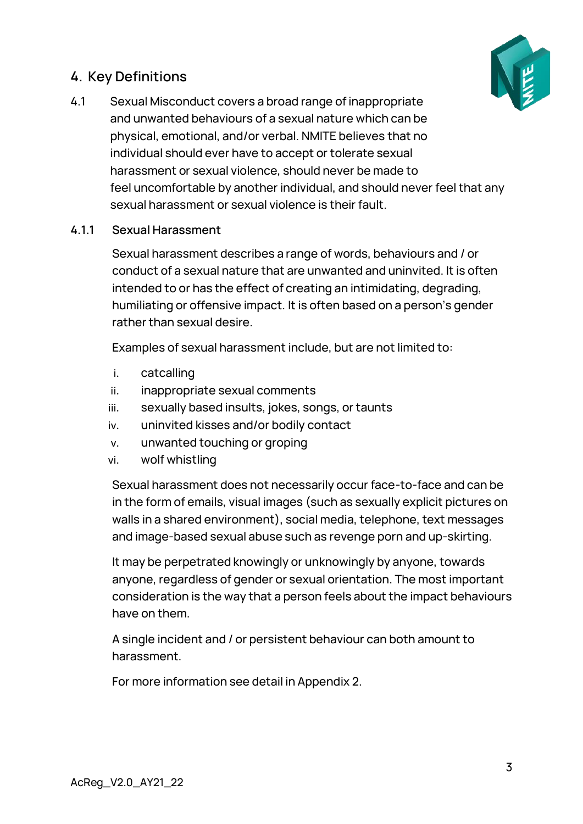## <span id="page-2-0"></span>**4. Key Definitions**



4.1 Sexual Misconduct covers a broad range of inappropriate and unwanted behaviours of a sexual nature which can be physical, emotional, and/or verbal. NMITE believes that no individual should ever have to accept or tolerate sexual harassment or sexual violence, should never be made to feel uncomfortable by another individual, and should never feel that any sexual harassment or sexual violence is their fault.

#### <span id="page-2-1"></span>**4.1.1 Sexual Harassment**

Sexual harassment describes a range of words, behaviours and / or conduct of a sexual nature that are unwanted and uninvited. It is often intended to or has the effect of creating an intimidating, degrading, humiliating or offensive impact. It is often based on a person's gender rather than sexual desire.

Examples of sexual harassment include, but are not limited to:

- i. catcalling
- ii. inappropriate sexual comments
- iii. sexually based insults, jokes, songs, or taunts
- iv. uninvited kisses and/or bodily contact
- v. unwanted touching or groping
- vi. wolf whistling

Sexual harassment does not necessarily occur face-to-face and can be in the form of emails, visual images (such as sexually explicit pictures on walls in a shared environment), social media, telephone, text messages and image-based sexual abuse such as revenge porn and up-skirting.

It may be perpetrated knowingly or unknowingly by anyone, towards anyone, regardless of gender or sexual orientation. The most important consideration is the way that a person feels about the impact behaviours have on them.

A single incident and / or persistent behaviour can both amount to harassment.

For more information see detail in Appendix 2.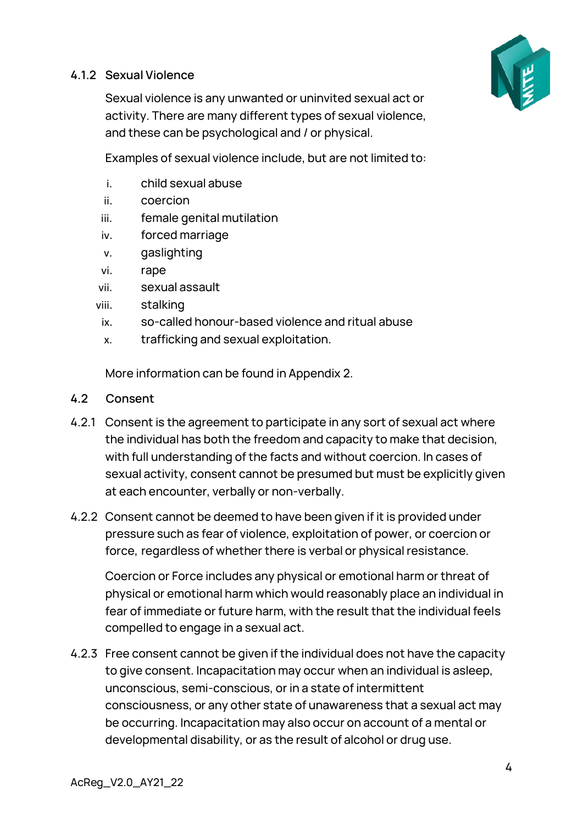#### <span id="page-3-0"></span>**4.1.2 Sexual Violence**



Sexual violence is any unwanted or uninvited sexual act or activity. There are many different types of sexual violence, and these can be psychological and / or physical.

Examples of sexual violence include, but are not limited to:

- i. child sexual abuse
- ii. coercion
- iii. female genital mutilation
- iv. forced marriage
- v. gaslighting
- vi. rape
- vii. sexual assault
- viii. stalking
- ix. so-called honour-based violence and ritual abuse
- x. trafficking and sexual exploitation.

More information can be found in Appendix 2.

#### <span id="page-3-1"></span>**4.2 Consent**

- 4.2.1 Consent is the agreement to participate in any sort of sexual act where the individual has both the freedom and capacity to make that decision, with full understanding of the facts and without coercion. In cases of sexual activity, consent cannot be presumed but must be explicitly given at each encounter, verbally or non-verbally.
- 4.2.2 Consent cannot be deemed to have been given if it is provided under pressure such as fear of violence, exploitation of power, or coercion or force, regardless of whether there is verbal or physical resistance.

Coercion or Force includes any physical or emotional harm or threat of physical or emotional harm which would reasonably place an individual in fear of immediate or future harm, with the result that the individual feels compelled to engage in a sexual act.

4.2.3 Free consent cannot be given if the individual does not have the capacity to give consent. Incapacitation may occur when an individual is asleep, unconscious, semi-conscious, or in a state of intermittent consciousness, or any other state of unawareness that a sexual act may be occurring. Incapacitation may also occur on account of a mental or developmental disability, or as the result of alcohol or drug use.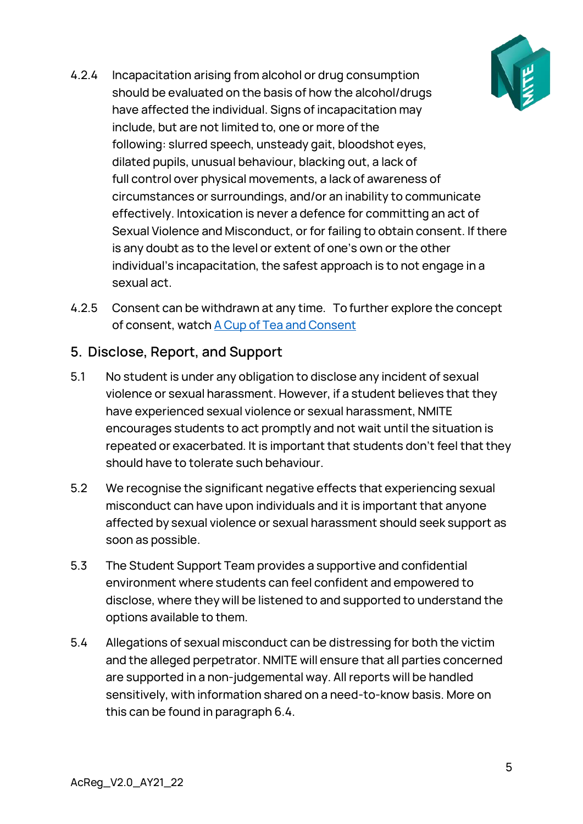

- 4.2.4 Incapacitation arising from alcohol or drug consumption should be evaluated on the basis of how the alcohol/drugs have affected the individual. Signs of incapacitation may include, but are not limited to, one or more of the following: slurred speech, unsteady gait, bloodshot eyes, dilated pupils, unusual behaviour, blacking out, a lack of full control over physical movements, a lack of awareness of circumstances or surroundings, and/or an inability to communicate effectively. Intoxication is never a defence for committing an act of Sexual Violence and Misconduct, or for failing to obtain consent. If there is any doubt as to the level or extent of one's own or the other individual's incapacitation, the safest approach is to not engage in a sexual act.
- 4.2.5 Consent can be withdrawn at any time. To further explore the concept of consent, watch A Cup of Tea and Consent

## <span id="page-4-0"></span>**5. Disclose, Report, and Support**

- 5.1 No student is under any obligation to disclose any incident of sexual violence or sexual harassment. However, if a student believes that they have experienced sexual violence or sexual harassment, NMITE encourages students to act promptly and not wait until the situation is repeated or exacerbated. It is important that students don't feel that they should have to tolerate such behaviour.
- 5.2 We recognise the significant negative effects that experiencing sexual misconduct can have upon individuals and it is important that anyone affected by sexual violence or sexual harassment should seek support as soon as possible.
- 5.3 The Student Support Team provides a supportive and confidential environment where students can feel confident and empowered to disclose, where they will be listened to and supported to understand the options available to them.
- 5.4 Allegations of sexual misconduct can be distressing for both the victim and the alleged perpetrator. NMITE will ensure that all parties concerned are supported in a non-judgemental way. All reports will be handled sensitively, with information shared on a need-to-know basis. More on this can be found in paragraph 6.4.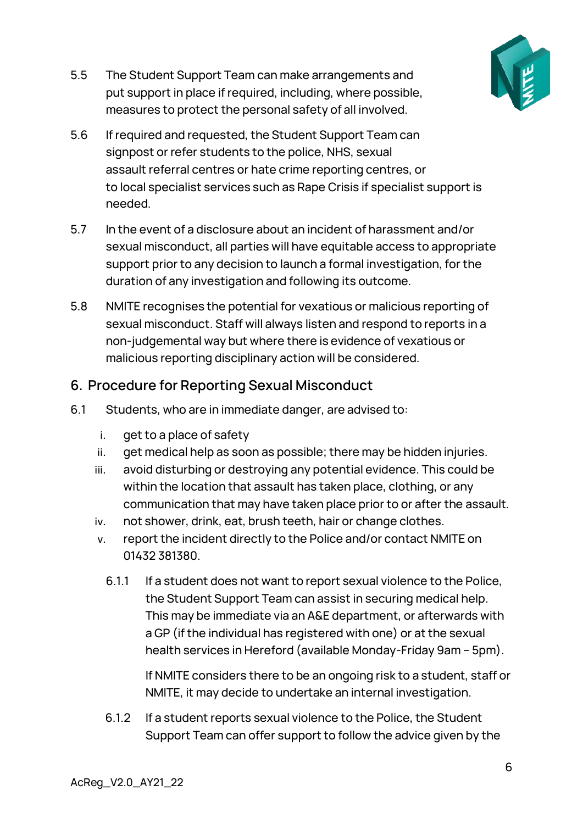

- 5.5 The Student Support Team can make arrangements and put support in place if required, including, where possible, measures to protect the personal safety of all involved.
- 5.6 If required and requested, the Student Support Team can signpost or refer students to the police, NHS, sexual assault referral centres or hate crime reporting centres, or to local specialist services such as Rape Crisis if specialist support is needed.
- 5.7 In the event of a disclosure about an incident of harassment and/or sexual misconduct, all parties will have equitable access to appropriate support prior to any decision to launch a formal investigation, for the duration of any investigation and following its outcome.
- 5.8 NMITE recognises the potential for vexatious or malicious reporting of sexual misconduct. Staff will always listen and respond to reports in a non-judgemental way but where there is evidence of vexatious or malicious reporting disciplinary action will be considered.

## <span id="page-5-0"></span>**6. Procedure for Reporting Sexual Misconduct**

- 6.1 Students, who are in immediate danger, are advised to:
	- i. get to a place of safety
	- ii. get medical help as soon as possible; there may be hidden injuries.
	- iii. avoid disturbing or destroying any potential evidence. This could be within the location that assault has taken place, clothing, or any communication that may have taken place prior to or after the assault.
	- iv. not shower, drink, eat, brush teeth, hair or change clothes.
	- v. report the incident directly to the Police and/or contact NMITE on 01432 381380.
		- 6.1.1 If a student does not want to report sexual violence to the Police, the Student Support Team can assist in securing medical help. This may be immediate via an A&E department, or afterwards with a GP (if the individual has registered with one) or at the sexual health services in Hereford (available Monday-Friday 9am – 5pm).

If NMITE considers there to be an ongoing risk to a student, staff or NMITE, it may decide to undertake an internal investigation.

6.1.2 If a student reports sexual violence to the Police, the Student Support Team can offer support to follow the advice given by the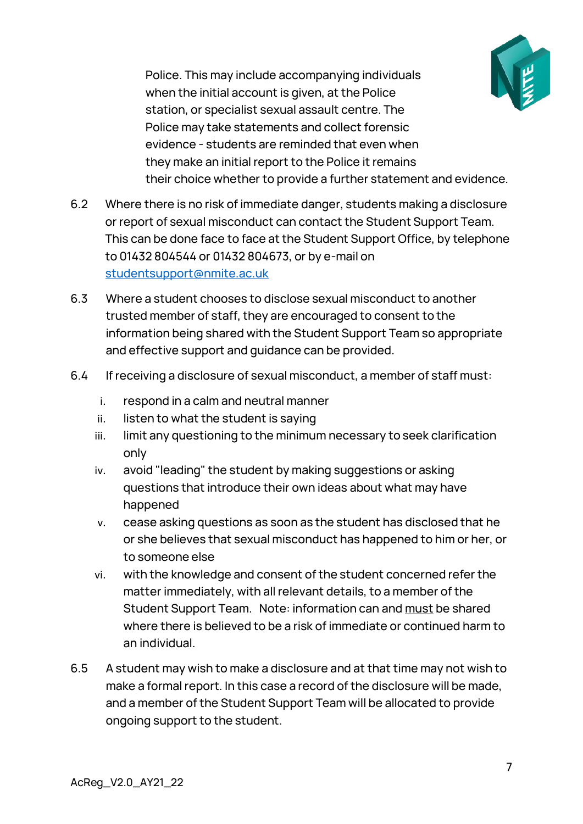

Police. This may include accompanying individuals when the initial account is given, at the Police station, or specialist sexual assault centre. The Police may take statements and collect forensic evidence - students are reminded that even when they make an initial report to the Police it remains their choice whether to provide a further statement and evidence.

- 6.2 Where there is no risk of immediate danger, students making a disclosure or report of sexual misconduct can contact the Student Support Team. This can be done face to face at the Student Support Office, by telephone to 01432 804544 or 01432 804673, or by e-mail on [studentsupport@nmite.ac.uk](mailto:studentsupport@nmite.ac.uk)
- 6.3 Where a student chooses to disclose sexual misconduct to another trusted member of staff, they are encouraged to consent to the information being shared with the Student Support Team so appropriate and effective support and guidance can be provided.
- 6.4 If receiving a disclosure of sexual misconduct, a member of staff must:
	- i. respond in a calm and neutral manner
	- ii. listen to what the student is saying
	- iii. limit any questioning to the minimum necessary to seek clarification only
	- iv. avoid "leading" the student by making suggestions or asking questions that introduce their own ideas about what may have happened
	- v. cease asking questions as soon as the student has disclosed that he or she believes that sexual misconduct has happened to him or her, or to someone else
	- vi. with the knowledge and consent of the student concerned refer the matter immediately, with all relevant details, to a member of the Student Support Team. Note: information can and must be shared where there is believed to be a risk of immediate or continued harm to an individual.
- 6.5 A student may wish to make a disclosure and at that time may not wish to make a formal report. In this case a record of the disclosure will be made, and a member of the Student Support Team will be allocated to provide ongoing support to the student.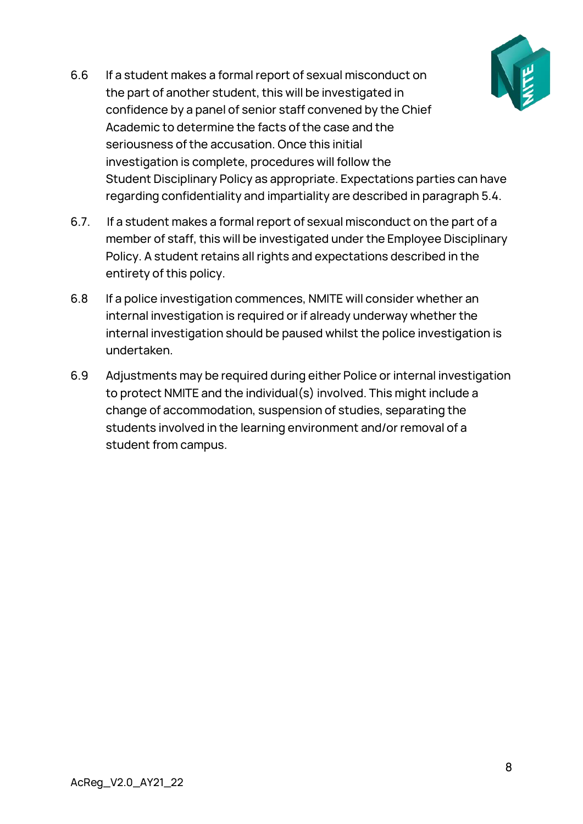

- 6.6 If a student makes a formal report of sexual misconduct on the part of another student, this will be investigated in confidence by a panel of senior staff convened by the Chief Academic to determine the facts of the case and the seriousness of the accusation. Once this initial investigation is complete, procedures will follow the Student Disciplinary Policy as appropriate. Expectations parties can have regarding confidentiality and impartiality are described in paragraph 5.4.
- 6.7. If a student makes a formal report of sexual misconduct on the part of a member of staff, this will be investigated under the Employee Disciplinary Policy. A student retains all rights and expectations described in the entirety of this policy.
- 6.8 If a police investigation commences, NMITE will consider whether an internal investigation is required or if already underway whether the internal investigation should be paused whilst the police investigation is undertaken.
- 6.9 Adjustments may be required during either Police or internal investigation to protect NMITE and the individual(s) involved. This might include a change of accommodation, suspension of studies, separating the students involved in the learning environment and/or removal of a student from campus.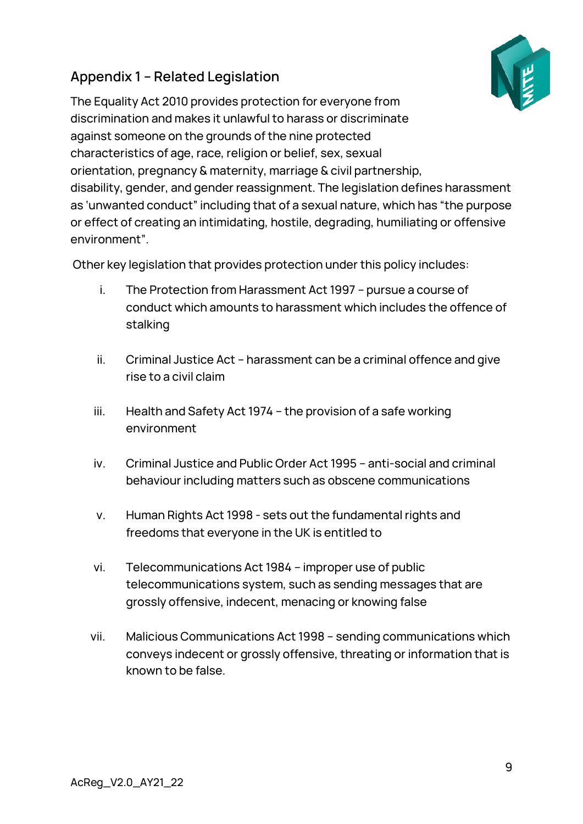## <span id="page-8-0"></span>**Appendix 1 – Related Legislation**

The Equality Act 2010 provides protection for everyone from discrimination and makes it unlawful to harass or discriminate against someone on the grounds of the nine protected characteristics of age, race, religion or belief, sex, sexual orientation, pregnancy & maternity, marriage & civil partnership, disability, gender, and gender reassignment. The legislation defines harassment as 'unwanted conduct" including that of a sexual nature, which has "the purpose or effect of creating an intimidating, hostile, degrading, humiliating or offensive environment".

Other key legislation that provides protection under this policy includes:

- i. The Protection from Harassment Act 1997 pursue a course of conduct which amounts to harassment which includes the offence of stalking
- ii. Criminal Justice Act harassment can be a criminal offence and give rise to a civil claim
- iii. Health and Safety Act 1974 the provision of a safe working environment
- iv. Criminal Justice and Public Order Act 1995 anti-social and criminal behaviour including matters such as obscene communications
- v. Human Rights Act 1998 sets out the fundamental rights and freedoms that everyone in the UK is entitled to
- vi. Telecommunications Act 1984 improper use of public telecommunications system, such as sending messages that are grossly offensive, indecent, menacing or knowing false
- vii. Malicious Communications Act 1998 sending communications which conveys indecent or grossly offensive, threating or information that is known to be false.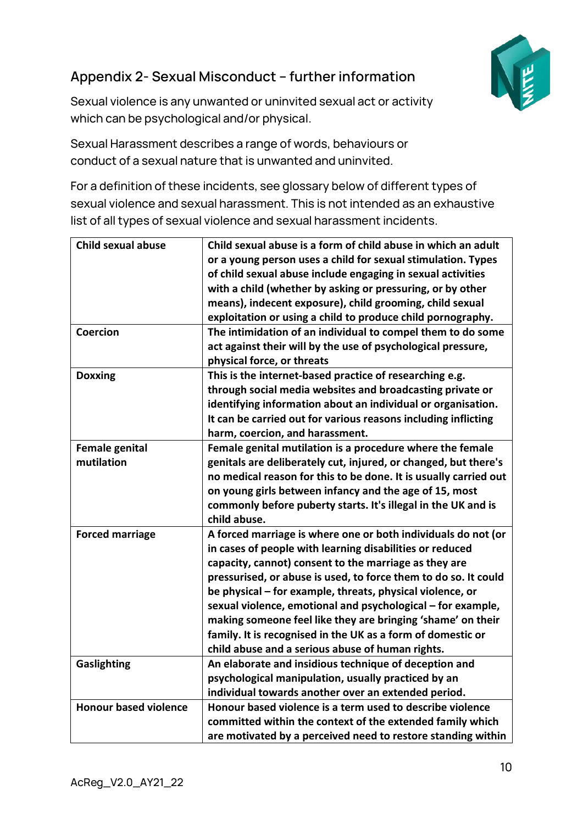

## <span id="page-9-0"></span>**Appendix 2- Sexual Misconduct – further information**

Sexual violence is any unwanted or uninvited sexual act or activity which can be psychological and/or physical.

Sexual Harassment describes a range of words, behaviours or conduct of a sexual nature that is unwanted and uninvited.

For a definition of these incidents, see glossary below of different types of sexual violence and sexual harassment. This is not intended as an exhaustive list of all types of sexual violence and sexual harassment incidents.

| <b>Child sexual abuse</b>           | Child sexual abuse is a form of child abuse in which an adult<br>or a young person uses a child for sexual stimulation. Types<br>of child sexual abuse include engaging in sexual activities<br>with a child (whether by asking or pressuring, or by other<br>means), indecent exposure), child grooming, child sexual<br>exploitation or using a child to produce child pornography.                                                                                                                                                                               |
|-------------------------------------|---------------------------------------------------------------------------------------------------------------------------------------------------------------------------------------------------------------------------------------------------------------------------------------------------------------------------------------------------------------------------------------------------------------------------------------------------------------------------------------------------------------------------------------------------------------------|
| Coercion                            | The intimidation of an individual to compel them to do some<br>act against their will by the use of psychological pressure,<br>physical force, or threats                                                                                                                                                                                                                                                                                                                                                                                                           |
| <b>Doxxing</b>                      | This is the internet-based practice of researching e.g.<br>through social media websites and broadcasting private or<br>identifying information about an individual or organisation.<br>It can be carried out for various reasons including inflicting<br>harm, coercion, and harassment.                                                                                                                                                                                                                                                                           |
| <b>Female genital</b><br>mutilation | Female genital mutilation is a procedure where the female<br>genitals are deliberately cut, injured, or changed, but there's<br>no medical reason for this to be done. It is usually carried out<br>on young girls between infancy and the age of 15, most<br>commonly before puberty starts. It's illegal in the UK and is<br>child abuse.                                                                                                                                                                                                                         |
| <b>Forced marriage</b>              | A forced marriage is where one or both individuals do not (or<br>in cases of people with learning disabilities or reduced<br>capacity, cannot) consent to the marriage as they are<br>pressurised, or abuse is used, to force them to do so. It could<br>be physical – for example, threats, physical violence, or<br>sexual violence, emotional and psychological - for example,<br>making someone feel like they are bringing 'shame' on their<br>family. It is recognised in the UK as a form of domestic or<br>child abuse and a serious abuse of human rights. |
| <b>Gaslighting</b>                  | An elaborate and insidious technique of deception and<br>psychological manipulation, usually practiced by an<br>individual towards another over an extended period.                                                                                                                                                                                                                                                                                                                                                                                                 |
| <b>Honour based violence</b>        | Honour based violence is a term used to describe violence<br>committed within the context of the extended family which<br>are motivated by a perceived need to restore standing within                                                                                                                                                                                                                                                                                                                                                                              |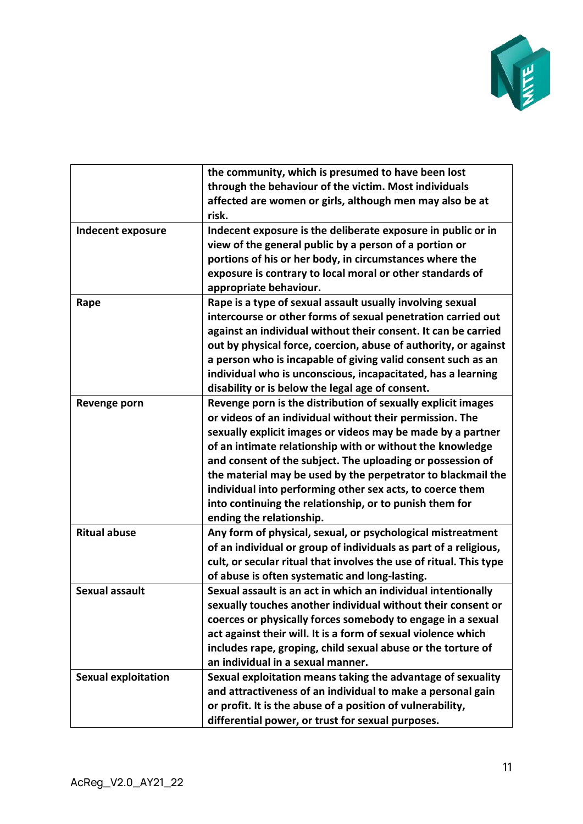

|                            | the community, which is presumed to have been lost<br>through the behaviour of the victim. Most individuals<br>affected are women or girls, although men may also be at<br>risk.                                                                                                                                                                                                                                                                                                                                                       |
|----------------------------|----------------------------------------------------------------------------------------------------------------------------------------------------------------------------------------------------------------------------------------------------------------------------------------------------------------------------------------------------------------------------------------------------------------------------------------------------------------------------------------------------------------------------------------|
| Indecent exposure          | Indecent exposure is the deliberate exposure in public or in<br>view of the general public by a person of a portion or<br>portions of his or her body, in circumstances where the<br>exposure is contrary to local moral or other standards of<br>appropriate behaviour.                                                                                                                                                                                                                                                               |
| Rape                       | Rape is a type of sexual assault usually involving sexual<br>intercourse or other forms of sexual penetration carried out<br>against an individual without their consent. It can be carried<br>out by physical force, coercion, abuse of authority, or against<br>a person who is incapable of giving valid consent such as an<br>individual who is unconscious, incapacitated, has a learning<br>disability or is below the legal age of consent.                                                                                     |
| Revenge porn               | Revenge porn is the distribution of sexually explicit images<br>or videos of an individual without their permission. The<br>sexually explicit images or videos may be made by a partner<br>of an intimate relationship with or without the knowledge<br>and consent of the subject. The uploading or possession of<br>the material may be used by the perpetrator to blackmail the<br>individual into performing other sex acts, to coerce them<br>into continuing the relationship, or to punish them for<br>ending the relationship. |
| <b>Ritual abuse</b>        | Any form of physical, sexual, or psychological mistreatment<br>of an individual or group of individuals as part of a religious,<br>cult, or secular ritual that involves the use of ritual. This type<br>of abuse is often systematic and long-lasting.                                                                                                                                                                                                                                                                                |
| <b>Sexual assault</b>      | Sexual assault is an act in which an individual intentionally<br>sexually touches another individual without their consent or<br>coerces or physically forces somebody to engage in a sexual<br>act against their will. It is a form of sexual violence which<br>includes rape, groping, child sexual abuse or the torture of<br>an individual in a sexual manner.                                                                                                                                                                     |
| <b>Sexual exploitation</b> | Sexual exploitation means taking the advantage of sexuality<br>and attractiveness of an individual to make a personal gain<br>or profit. It is the abuse of a position of vulnerability,<br>differential power, or trust for sexual purposes.                                                                                                                                                                                                                                                                                          |